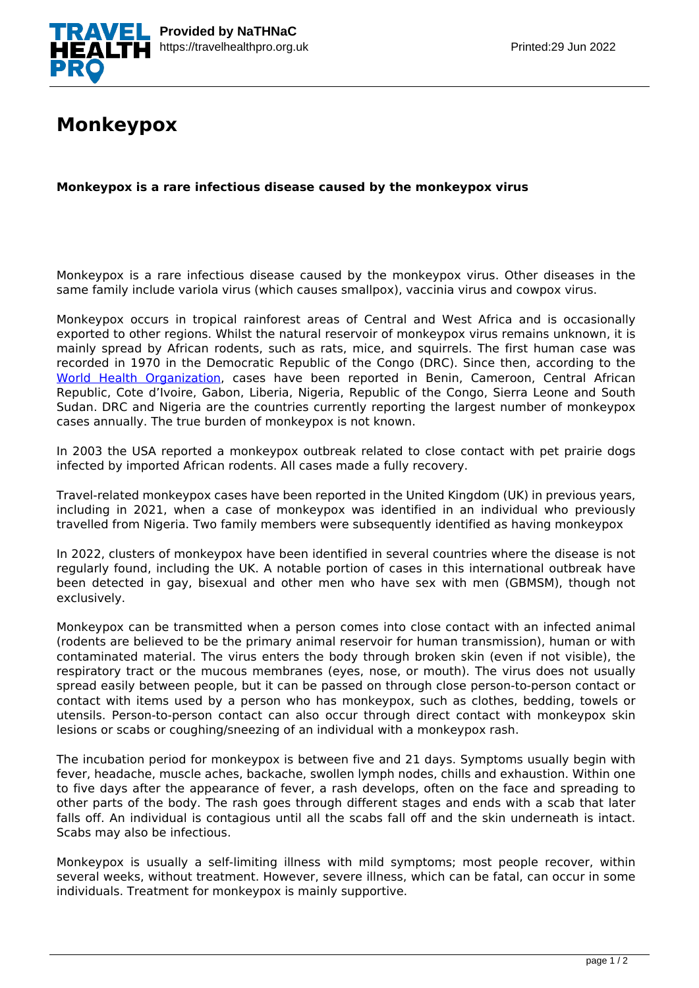

## **Monkeypox**

**Monkeypox is a rare infectious disease caused by the monkeypox virus**

Monkeypox is a rare infectious disease caused by the monkeypox virus. Other diseases in the same family include variola virus (which causes smallpox), vaccinia virus and cowpox virus.

Monkeypox occurs in tropical rainforest areas of Central and West Africa and is occasionally exported to other regions. Whilst the natural reservoir of monkeypox virus remains unknown, it is mainly spread by African rodents, such as rats, mice, and squirrels. The first human case was recorded in 1970 in the Democratic Republic of the Congo (DRC). Since then, according to the [World Health Organization,](https://www.who.int/news-room/fact-sheets/detail/monkeypox) cases have been reported in Benin, Cameroon, Central African Republic, Cote d'Ivoire, Gabon, Liberia, Nigeria, Republic of the Congo, Sierra Leone and South Sudan. DRC and Nigeria are the countries currently reporting the largest number of monkeypox cases annually. The true burden of monkeypox is not known.

In 2003 the USA reported a monkeypox outbreak related to close contact with pet prairie dogs infected by imported African rodents. All cases made a fully recovery.

Travel-related monkeypox cases have been reported in the United Kingdom (UK) in previous years, including in 2021, when a case of monkeypox was identified in an individual who previously travelled from Nigeria. Two family members were subsequently identified as having monkeypox

In 2022, clusters of monkeypox have been identified in several countries where the disease is not regularly found, including the UK. A notable portion of cases in this international outbreak have been detected in gay, bisexual and other men who have sex with men (GBMSM), though not exclusively.

Monkeypox can be transmitted when a person comes into close contact with an infected animal (rodents are believed to be the primary animal reservoir for human transmission), human or with contaminated material. The virus enters the body through broken skin (even if not visible), the respiratory tract or the mucous membranes (eyes, nose, or mouth). The virus does not usually spread easily between people, but it can be passed on through close person-to-person contact or contact with items used by a person who has monkeypox, such as clothes, bedding, towels or utensils. Person-to-person contact can also occur through direct contact with monkeypox skin lesions or scabs or coughing/sneezing of an individual with a monkeypox rash.

The incubation period for monkeypox is between five and 21 days. Symptoms usually begin with fever, headache, muscle aches, backache, swollen lymph nodes, chills and exhaustion. Within one to five days after the appearance of fever, a rash develops, often on the face and spreading to other parts of the body. The rash goes through different stages and ends with a scab that later falls off. An individual is contagious until all the scabs fall off and the skin underneath is intact. Scabs may also be infectious.

Monkeypox is usually a self-limiting illness with mild symptoms; most people recover, within several weeks, without treatment. However, severe illness, which can be fatal, can occur in some individuals. Treatment for monkeypox is mainly supportive.